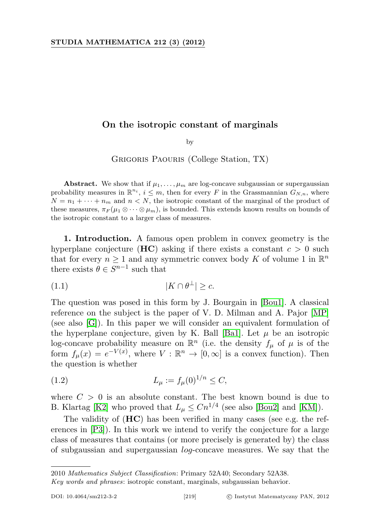## On the isotropic constant of marginals

by

Grigoris Paouris (College Station, TX)

Abstract. We show that if  $\mu_1, \ldots, \mu_m$  are log-concave subgaussian or supergaussian probability measures in  $\mathbb{R}^{n_i}$ ,  $i \leq m$ , then for every F in the Grassmannian  $G_{N,n}$ , where  $N = n_1 + \cdots + n_m$  and  $n < N$ , the isotropic constant of the marginal of the product of these measures,  $\pi_F(\mu_1 \otimes \cdots \otimes \mu_m)$ , is bounded. This extends known results on bounds of the isotropic constant to a larger class of measures.

1. Introduction. A famous open problem in convex geometry is the hyperplane conjecture ( $HC$ ) asking if there exists a constant  $c > 0$  such that for every  $n \geq 1$  and any symmetric convex body K of volume 1 in  $\mathbb{R}^n$ there exists  $\theta \in S^{n-1}$  such that

$$
(1.1) \t\t\t |K \cap \theta^{\perp}| \geq c.
$$

The question was posed in this form by J. Bourgain in [\[Bou1\]](#page-16-0). A classical reference on the subject is the paper of V. D. Milman and A. Pajor [\[MP\]](#page-17-0) (see also [\[G\]](#page-16-1)). In this paper we will consider an equivalent formulation of the hyperplane conjecture, given by K. Ball [\[Ba1\]](#page-15-0). Let  $\mu$  be an isotropic log-concave probability measure on  $\mathbb{R}^n$  (i.e. the density  $f_\mu$  of  $\mu$  is of the form  $f_{\mu}(x) = e^{-V(x)}$ , where  $V : \mathbb{R}^n \to [0, \infty]$  is a convex function). Then the question is whether

(1.2) 
$$
L_{\mu} := f_{\mu}(0)^{1/n} \leq C,
$$

where  $C > 0$  is an absolute constant. The best known bound is due to B. Klartag [\[K2\]](#page-16-2) who proved that  $L_{\mu} \leq C n^{1/4}$  (see also [\[Bou2\]](#page-16-3) and [\[KM\]](#page-16-4)).

The validity of (HC) has been verified in many cases (see e.g. the references in [\[P3\]](#page-17-1)). In this work we intend to verify the conjecture for a large class of measures that contains (or more precisely is generated by) the class of subgaussian and supergaussian log-concave measures. We say that the

<sup>2010</sup> Mathematics Subject Classification: Primary 52A40; Secondary 52A38.

Key words and phrases: isotropic constant, marginals, subgaussian behavior.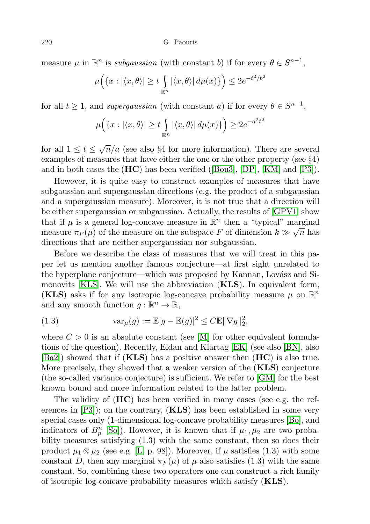measure  $\mu$  in  $\mathbb{R}^n$  is *subgaussian* (with constant b) if for every  $\theta \in S^{n-1}$ ,

$$
\mu\Big(\{x: |\langle x,\theta\rangle| \ge t \int_{\mathbb{R}^n} |\langle x,\theta\rangle| \, d\mu(x)\}\Big) \le 2e^{-t^2/\delta^2}
$$

for all  $t \geq 1$ , and supergaussian (with constant a) if for every  $\theta \in S^{n-1}$ ,

$$
\mu\Big(\{x: |\langle x,\theta\rangle| \ge t \int_{\mathbb{R}^n} |\langle x,\theta\rangle| \, d\mu(x)\}\Big) \ge 2e^{-a^2t^2}
$$

for all  $1 \le t \le \sqrt{n}/a$  (see also §4 for more information). There are several examples of measures that have either the one or the other property (see §4) and in both cases the  $(HC)$  has been verified ([\[Bou3\]](#page-16-5), [\[DP\]](#page-16-6), [\[KM\]](#page-16-4) and [\[P3\]](#page-17-1)).

However, it is quite easy to construct examples of measures that have subgaussian and supergaussian directions (e.g. the product of a subgaussian and a supergaussian measure). Moreover, it is not true that a direction will be either supergaussian or subgaussian. Actually, the results of [\[GPV1\]](#page-16-7) show that if  $\mu$  is a general log-concave measure in  $\mathbb{R}^n$  then a "typical" marginal measure  $\pi_F(\mu)$  of the measure on the subspace F of dimension  $k \gg \sqrt{n}$  has directions that are neither supergaussian nor subgaussian.

Before we describe the class of measures that we will treat in this paper let us mention another famous conjecture—at first sight unrelated to the hyperplane conjecture—which was proposed by Kannan, Lovász and Simonovits [\[KLS\]](#page-16-8). We will use the abbreviation (KLS). In equivalent form, (KLS) asks if for any isotropic log-concave probability measure  $\mu$  on  $\mathbb{R}^n$ and any smooth function  $g : \mathbb{R}^n \to \mathbb{R}$ ,

(1.3) 
$$
\operatorname{var}_{\mu}(g) := \mathbb{E}|g - \mathbb{E}(g)|^2 \le C \mathbb{E} \|\nabla g\|_2^2,
$$

where  $C > 0$  is an absolute constant (see [\[M\]](#page-16-9) for other equivalent formulations of the question). Recently, Eldan and Klartag [\[EK\]](#page-16-10) (see also [\[BN\]](#page-15-1), also  $|\text{Ba2}|$  showed that if  $(\mathbf{KLS})$  has a positive answer then  $(\mathbf{HC})$  is also true. More precisely, they showed that a weaker version of the (KLS) conjecture (the so-called variance conjecture) is sufficient. We refer to [\[GM\]](#page-16-11) for the best known bound and more information related to the latter problem.

The validity of  $(HC)$  has been verified in many cases (see e.g. the references in  $[P3]$ ; on the contrary,  $(KLS)$  has been established in some very special cases only (1-dimensional log-concave probability measures [\[Bo\]](#page-16-12), and indicators of  $B_p^n$  [\[So\]](#page-17-2)). However, it is known that if  $\mu_1, \mu_2$  are two probability measures satisfying (1.3) with the same constant, then so does their product  $\mu_1 \otimes \mu_2$  (see e.g. [\[L,](#page-16-13) p. 98]). Moreover, if  $\mu$  satisfies (1.3) with some constant D, then any marginal  $\pi_F(\mu)$  of  $\mu$  also satisfies (1.3) with the same constant. So, combining these two operators one can construct a rich family of isotropic log-concave probability measures which satisfy (KLS).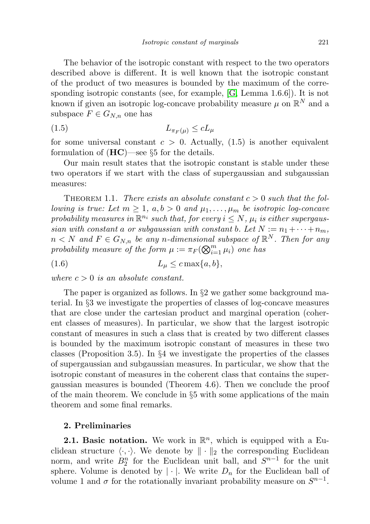The behavior of the isotropic constant with respect to the two operators described above is different. It is well known that the isotropic constant of the product of two measures is bounded by the maximum of the corresponding isotropic constants (see, for example, [\[G,](#page-16-1) Lemma 1.6.6]). It is not known if given an isotropic log-concave probability measure  $\mu$  on  $\mathbb{R}^N$  and a subspace  $F \in G_{N,n}$  one has

$$
(1.5) \t\t\t L_{\pi_F(\mu)} \leq cL_{\mu}
$$

for some universal constant  $c > 0$ . Actually, (1.5) is another equivalent formulation of  $(HC)$ —see §5 for the details.

Our main result states that the isotropic constant is stable under these two operators if we start with the class of supergaussian and subgaussian measures:

THEOREM 1.1. There exists an absolute constant  $c > 0$  such that the fol*lowing is true:* Let  $m \geq 1$ ,  $a, b > 0$  and  $\mu_1, \ldots, \mu_m$  be isotropic log-concave probability measures in  $\mathbb{R}^{n_i}$  such that, for every  $i \leq N$ ,  $\mu_i$  is either supergaussian with constant a or subgaussian with constant b. Let  $N := n_1 + \cdots + n_m$ ,  $n < N$  and  $F \in G_{N,n}$  be any n-dimensional subspace of  $\mathbb{R}^N$ . Then for any probability measure of the form  $\mu := \pi_F(\bigotimes_{i=1}^m \mu_i)$  one has

$$
(1.6) \t\t\t L_{\mu} \leq c \max\{a, b\},\
$$

where  $c > 0$  is an absolute constant.

The paper is organized as follows. In §2 we gather some background material. In §3 we investigate the properties of classes of log-concave measures that are close under the cartesian product and marginal operation (coherent classes of measures). In particular, we show that the largest isotropic constant of measures in such a class that is created by two different classes is bounded by the maximum isotropic constant of measures in these two classes (Proposition 3.5). In  $\S 4$  we investigate the properties of the classes of supergaussian and subgaussian measures. In particular, we show that the isotropic constant of measures in the coherent class that contains the supergaussian measures is bounded (Theorem 4.6). Then we conclude the proof of the main theorem. We conclude in §5 with some applications of the main theorem and some final remarks.

## 2. Preliminaries

**2.1. Basic notation.** We work in  $\mathbb{R}^n$ , which is equipped with a Euclidean structure  $\langle \cdot, \cdot \rangle$ . We denote by  $\|\cdot\|_2$  the corresponding Euclidean norm, and write  $B_2^n$  for the Euclidean unit ball, and  $S^{n-1}$  for the unit sphere. Volume is denoted by  $|\cdot|$ . We write  $D_n$  for the Euclidean ball of volume 1 and  $\sigma$  for the rotationally invariant probability measure on  $S^{n-1}$ .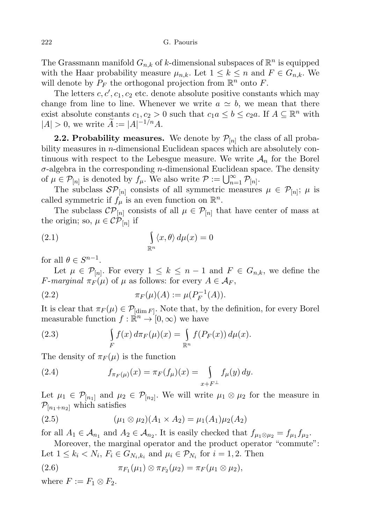The Grassmann manifold  $G_{n,k}$  of k-dimensional subspaces of  $\mathbb{R}^n$  is equipped with the Haar probability measure  $\mu_{n,k}$ . Let  $1 \leq k \leq n$  and  $F \in G_{n,k}$ . We will denote by  $P_F$  the orthogonal projection from  $\mathbb{R}^n$  onto F.

The letters  $c, c', c_1, c_2$  etc. denote absolute positive constants which may change from line to line. Whenever we write  $a \simeq b$ , we mean that there exist absolute constants  $c_1, c_2 > 0$  such that  $c_1 a \leq b \leq c_2 a$ . If  $A \subseteq \mathbb{R}^n$  with  $|A| > 0$ , we write  $\widetilde{A} := |A|^{-1/n} A$ .

**2.2. Probability measures.** We denote by  $\mathcal{P}_{[n]}$  the class of all probability measures in  $n$ -dimensional Euclidean spaces which are absolutely continuous with respect to the Lebesgue measure. We write  $A_n$  for the Borel  $\sigma$ -algebra in the corresponding *n*-dimensional Euclidean space. The density of  $\mu \in \mathcal{P}_{[n]}$  is denoted by  $f_{\mu}$ . We also write  $\mathcal{P} := \bigcup_{n=1}^{\infty} \mathcal{P}_{[n]}$ .

The subclass  $\mathcal{SP}_{[n]}$  consists of all symmetric measures  $\mu \in \mathcal{P}_{[n]}$ ;  $\mu$  is called symmetric if  $f_{\mu}$  is an even function on  $\mathbb{R}^n$ .

The subclass  $\mathcal{CP}_{[n]}$  consists of all  $\mu \in \mathcal{P}_{[n]}$  that have center of mass at the origin; so,  $\mu \in \mathcal{CP}_{[n]}$  if

(2.1) 
$$
\int_{\mathbb{R}^n} \langle x, \theta \rangle d\mu(x) = 0
$$

for all  $\theta \in S^{n-1}$ .

Let  $\mu \in \mathcal{P}_{[n]}$ . For every  $1 \leq k \leq n-1$  and  $F \in G_{n,k}$ , we define the *F*-marginal  $\pi_F(\mu)$  of  $\mu$  as follows: for every  $A \in \mathcal{A}_F$ ,

(2.2) 
$$
\pi_F(\mu)(A) := \mu(P_F^{-1}(A)).
$$

It is clear that  $\pi_F(\mu) \in \mathcal{P}_{[\dim F]}$ . Note that, by the definition, for every Borel measurable function  $f: \mathbb{R}^n \to [0, \infty)$  we have

(2.3) 
$$
\int\limits_F f(x) d\pi_F(\mu)(x) = \int\limits_{\mathbb{R}^n} f(P_F(x)) d\mu(x).
$$

The density of  $\pi_F(\mu)$  is the function

(2.4) 
$$
f_{\pi_F(\mu)}(x) = \pi_F(f_\mu)(x) = \int_{x+F^\perp} f_\mu(y) \, dy.
$$

Let  $\mu_1 \in \mathcal{P}_{[n_1]}$  and  $\mu_2 \in \mathcal{P}_{[n_2]}$ . We will write  $\mu_1 \otimes \mu_2$  for the measure in  $\mathcal{P}_{[n_1+n_2]}$  which satisfies

(2.5) 
$$
(\mu_1 \otimes \mu_2)(A_1 \times A_2) = \mu_1(A_1)\mu_2(A_2)
$$

for all  $A_1 \in \mathcal{A}_{n_1}$  and  $A_2 \in \mathcal{A}_{n_2}$ . It is easily checked that  $f_{\mu_1 \otimes \mu_2} = f_{\mu_1} f_{\mu_2}$ .

Moreover, the marginal operator and the product operator "commute": Let  $1 \leq k_i < N_i$ ,  $F_i \in G_{N_i,k_i}$  and  $\mu_i \in \mathcal{P}_{N_i}$  for  $i = 1, 2$ . Then

(2.6) 
$$
\pi_{F_1}(\mu_1) \otimes \pi_{F_2}(\mu_2) = \pi_F(\mu_1 \otimes \mu_2),
$$

where  $F := F_1 \otimes F_2$ .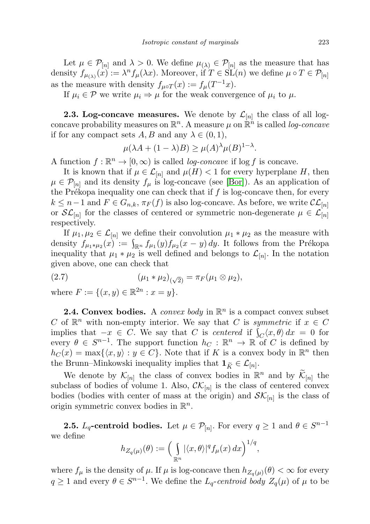Let  $\mu \in \mathcal{P}_{[n]}$  and  $\lambda > 0$ . We define  $\mu_{(\lambda)} \in \mathcal{P}_{[n]}$  as the measure that has density  $f_{\mu(\lambda)}(x) := \lambda^n f_\mu(\lambda x)$ . Moreover, if  $T \in SL(n)$  we define  $\mu \circ T \in \mathcal{P}_{[n]}$ as the measure with density  $f_{\mu\circ T}(x) := f_{\mu}(T^{-1}x)$ .

If  $\mu_i \in \mathcal{P}$  we write  $\mu_i \Rightarrow \mu$  for the weak convergence of  $\mu_i$  to  $\mu$ .

**2.3. Log-concave measures.** We denote by  $\mathcal{L}_{[n]}$  the class of all logconcave probability measures on  $\mathbb{R}^n$ . A measure  $\mu$  on  $\mathbb{R}^n$  is called log-concave if for any compact sets  $A, B$  and any  $\lambda \in (0, 1)$ ,

$$
\mu(\lambda A + (1 - \lambda)B) \ge \mu(A)^{\lambda} \mu(B)^{1 - \lambda}.
$$

A function  $f : \mathbb{R}^n \to [0, \infty)$  is called *log-concave* if  $\log f$  is concave.

It is known that if  $\mu \in \mathcal{L}_{[n]}$  and  $\mu(H) < 1$  for every hyperplane H, then  $\mu \in \mathcal{P}_{[n]}$  and its density  $f_{\mu}$  is log-concave (see [\[Bor\]](#page-16-14)). As an application of the Prékopa inequality one can check that if  $f$  is log-concave then, for every  $k \leq n-1$  and  $F \in G_{n,k}, \pi_F(f)$  is also log-concave. As before, we write  $\mathcal{CL}_{[n]}$ or  $\mathcal{SL}_{[n]}$  for the classes of centered or symmetric non-degenerate  $\mu \in \mathcal{L}_{[n]}$ respectively.

If  $\mu_1, \mu_2 \in \mathcal{L}_{[n]}$  we define their convolution  $\mu_1 * \mu_2$  as the measure with density  $f_{\mu_1 * \mu_2}(x) := \int_{\mathbb{R}^n} f_{\mu_1}(y) f_{\mu_2}(x - y) dy$ . It follows from the Prékopa inequality that  $\mu_1 * \mu_2$  is well defined and belongs to  $\mathcal{L}_{[n]}$ . In the notation given above, one can check that

(2.7) 
$$
(\mu_1 * \mu_2)_{(\sqrt{2})} = \pi_F(\mu_1 \otimes \mu_2),
$$

where  $F := \{(x, y) \in \mathbb{R}^{2n} : x = y\}.$ 

**2.4. Convex bodies.** A convex body in  $\mathbb{R}^n$  is a compact convex subset C of  $\mathbb{R}^n$  with non-empty interior. We say that C is symmetric if  $x \in C$ implies that  $-x \in C$ . We say that C is centered if  $\int_C \langle x, \theta \rangle dx = 0$  for every  $\theta \in S^{n-1}$ . The support function  $h_C : \mathbb{R}^n \to \mathbb{R}$  of C is defined by  $h_C(x) = \max\{\langle x, y \rangle : y \in C\}$ . Note that if K is a convex body in  $\mathbb{R}^n$  then the Brunn–Minkowski inequality implies that  $\mathbf{1}_{\widetilde{K}} \in \mathcal{L}_{[n]}$ .

We denote by  $\mathcal{K}_{[n]}$  the class of convex bodies in  $\mathbb{R}^n$  and by  $\widetilde{\mathcal{K}}_{[n]}$  the subclass of bodies of volume 1. Also,  $\mathcal{CK}_{[n]}$  is the class of centered convex bodies (bodies with center of mass at the origin) and  $\mathcal{SK}_{[n]}$  is the class of origin symmetric convex bodies in  $\mathbb{R}^n$ .

**2.5.**  $L_q$ -centroid bodies. Let  $\mu \in \mathcal{P}_{[n]}$ . For every  $q \ge 1$  and  $\theta \in S^{n-1}$ we define

$$
h_{Z_q(\mu)}(\theta) := \Big(\bigcup_{\mathbb{R}^n} |\langle x, \theta \rangle|^q f_\mu(x) \, dx\Big)^{1/q},
$$

where  $f_{\mu}$  is the density of  $\mu$ . If  $\mu$  is log-concave then  $h_{Z_q(\mu)}(\theta) < \infty$  for every  $q \ge 1$  and every  $\theta \in S^{n-1}$ . We define the  $L_q$ -centroid body  $Z_q(\mu)$  of  $\mu$  to be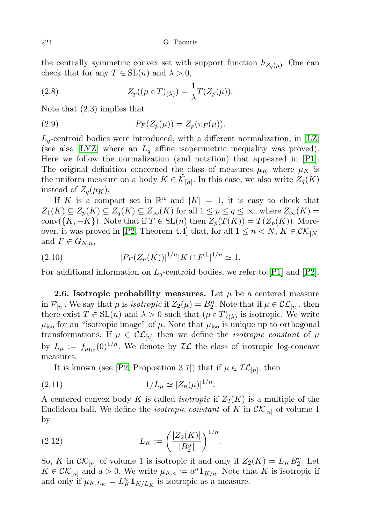the centrally symmetric convex set with support function  $h_{Z_q(\mu)}$ . One can check that for any  $T \in SL(n)$  and  $\lambda > 0$ ,

(2.8) 
$$
Z_p((\mu \circ T)_{(\lambda)}) = \frac{1}{\lambda} T(Z_p(\mu)).
$$

Note that (2.3) implies that

(2.9) 
$$
P_F(Z_p(\mu)) = Z_p(\pi_F(\mu)).
$$

 $L_q$ -centroid bodies were introduced, with a different normalization, in [\[LZ\]](#page-16-15) (see also [\[LYZ\]](#page-16-16) where an  $L_q$  affine isoperimetric inequality was proved). Here we follow the normalization (and notation) that appeared in [\[P1\]](#page-17-3). The original definition concerned the class of measures  $\mu_K$  where  $\mu_K$  is the uniform measure on a body  $K \in \mathcal{K}_{[n]}$ . In this case, we also write  $Z_q(K)$ instead of  $Z_q(\mu_K)$ .

If K is a compact set in  $\mathbb{R}^n$  and  $|K| = 1$ , it is easy to check that  $Z_1(K) \subseteq Z_p(K) \subseteq Z_q(K) \subseteq Z_\infty(K)$  for all  $1 \leq p \leq q \leq \infty$ , where  $Z_\infty(K) =$ conv({K, -K}). Note that if  $T \in SL(n)$  then  $Z_p(T(K)) = T(Z_p(K))$ . More-over, it was proved in [\[P2,](#page-17-4) Theorem 4.4] that, for all  $1 \leq n \lt N$ ,  $K \in \mathcal{CK}_{[N]}$ and  $F \in G_{N,n}$ ,

(2.10) 
$$
|P_F(Z_n(K))|^{1/n}|K \cap F^{\perp}|^{1/n} \simeq 1.
$$

For additional information on  $L_q$ -centroid bodies, we refer to [\[P1\]](#page-17-3) and [\[P2\]](#page-17-4).

**2.6.** Isotropic probability measures. Let  $\mu$  be a centered measure in  $\mathcal{P}_{[n]}$ . We say that  $\mu$  is *isotropic* if  $Z_2(\mu) = B_2^n$ . Note that if  $\mu \in \mathcal{CL}_{[n]}$ , then there exist  $T \in SL(n)$  and  $\lambda > 0$  such that  $(\mu \circ T)_{(\lambda)}$  is isotropic. We write  $\mu_{\rm iso}$  for an "isotropic image" of  $\mu$ . Note that  $\mu_{\rm iso}$  is unique up to orthogonal transformations. If  $\mu \in \mathcal{CL}_{[n]}$  then we define the *isotropic constant* of  $\mu$ by  $L_{\mu} := f_{\mu_{iso}}(0)^{1/n}$ . We denote by  $\mathcal{IL}$  the class of isotropic log-concave measures.

It is known (see [\[P2,](#page-17-4) Proposition 3.7]) that if  $\mu \in \mathcal{IL}_{[n]}$ , then

(2.11) 
$$
1/L_{\mu} \simeq |Z_n(\mu)|^{1/n}.
$$

A centered convex body K is called *isotropic* if  $Z_2(K)$  is a multiple of the Euclidean ball. We define the *isotropic constant* of K in  $\mathcal{CK}_{[n]}$  of volume 1 by

(2.12) 
$$
L_K := \left(\frac{|Z_2(K)|}{|B_2^n|}\right)^{1/n}.
$$

So, K in  $\mathcal{CK}_{[n]}$  of volume 1 is isotropic if and only if  $Z_2(K) = L_K B_2^n$ . Let  $K \in \mathcal{CK}_{[n]}$  and  $a > 0$ . We write  $\mu_{K,a} := a^n \mathbf{1}_{K/a}$ . Note that K is isotropic if and only if  $\mu_{K,L_K} = L_K^n \mathbf{1}_{K/L_K}$  is isotropic as a measure.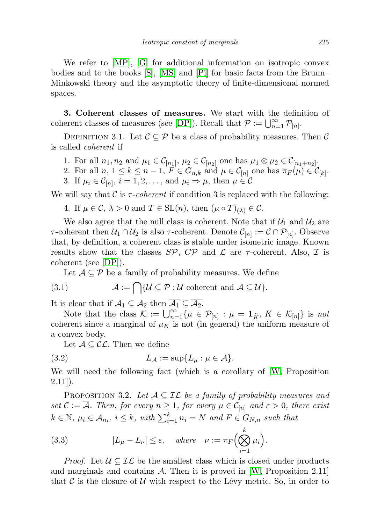We refer to [\[MP\]](#page-17-0), [\[G\]](#page-16-1) for additional information on isotropic convex bodies and to the books [\[S\]](#page-17-5), [\[MS\]](#page-17-6) and [\[Pi\]](#page-17-7) for basic facts from the Brunn– Minkowski theory and the asymptotic theory of finite-dimensional normed spaces.

3. Coherent classes of measures. We start with the definition of coherent classes of measures (see [\[DP\]](#page-16-6)). Recall that  $P := \bigcup_{n=1}^{\infty} P_{[n]}.$ 

DEFINITION 3.1. Let  $\mathcal{C} \subseteq \mathcal{P}$  be a class of probability measures. Then  $\mathcal{C}$ is called coherent if

- 1. For all  $n_1, n_2$  and  $\mu_1 \in C_{[n_1]}, \mu_2 \in C_{[n_2]}$  one has  $\mu_1 \otimes \mu_2 \in C_{[n_1+n_2]}$ .
- 2. For all  $n, 1 \leq k \leq n-1$ ,  $F \in G_{n,k}$  and  $\mu \in \mathcal{C}_{[n]}$  one has  $\pi_F(\mu) \in \mathcal{C}_{[k]}$ .
- 3. If  $\mu_i \in C_{[n]}, i = 1, 2, \ldots$ , and  $\mu_i \Rightarrow \mu$ , then  $\mu \in \mathcal{C}$ .

We will say that C is  $\tau$ -coherent if condition 3 is replaced with the following:

4. If  $\mu \in \mathcal{C}, \lambda > 0$  and  $T \in SL(n)$ , then  $(\mu \circ T)_{(\lambda)} \in \mathcal{C}$ .

We also agree that the null class is coherent. Note that if  $\mathcal{U}_1$  and  $\mathcal{U}_2$  are  $\tau$ -coherent then  $\mathcal{U}_1 \cap \mathcal{U}_2$  is also  $\tau$ -coherent. Denote  $\mathcal{C}_{[n]} := \mathcal{C} \cap \mathcal{P}_{[n]}$ . Observe that, by definition, a coherent class is stable under isometric image. Known results show that the classes  $S\mathcal{P}, C\mathcal{P}$  and  $\mathcal{L}$  are  $\tau$ -coherent. Also,  $\mathcal{I}$  is coherent (see [\[DP\]](#page-16-6)).

Let  $A \subseteq \mathcal{P}$  be a family of probability measures. We define

(3.1) 
$$
\overline{\mathcal{A}} := \bigcap \{ \mathcal{U} \subseteq \mathcal{P} : \mathcal{U} \text{ coherent and } \mathcal{A} \subseteq \mathcal{U} \}.
$$

It is clear that if  $\mathcal{A}_1 \subseteq \mathcal{A}_2$  then  $\overline{\mathcal{A}_1} \subseteq \overline{\mathcal{A}_2}$ .

Note that the class  $\mathcal{K} := \bigcup_{n=1}^{\infty} \{\mu \in \mathcal{P}_{[n]} : \mu = \mathbf{1}_{\tilde{K}}, K \in \mathcal{K}_{[n]}\}\)$  is not coherent since a marginal of  $\mu_K$  is not (in general) the uniform measure of a convex body.

Let  $A \subseteq \mathcal{CL}$ . Then we define

$$
(3.2) \tL_{\mathcal{A}} := \sup \{ L_{\mu} : \mu \in \mathcal{A} \}.
$$

We will need the following fact (which is a corollary of [\[W,](#page-17-8) Proposition  $2.11$ ]).

PROPOSITION 3.2. Let  $A \subseteq \mathcal{IL}$  be a family of probability measures and set  $\mathcal{C} := \overline{\mathcal{A}}$ . Then, for every  $n \geq 1$ , for every  $\mu \in \mathcal{C}_{[n]}$  and  $\varepsilon > 0$ , there exist  $k \in \mathbb{N}$ ,  $\mu_i \in \mathcal{A}_{n_i}$ ,  $i \leq k$ , with  $\sum_{i=1}^k n_i = N$  and  $F \in G_{N,n}$  such that

(3.3) 
$$
|L_{\mu} - L_{\nu}| \leq \varepsilon, \quad \text{where} \quad \nu := \pi_F \Big( \bigotimes_{i=1}^k \mu_i \Big).
$$

*Proof.* Let  $U \subseteq \mathcal{IL}$  be the smallest class which is closed under products and marginals and contains  $\mathcal{A}$ . Then it is proved in [\[W,](#page-17-8) Proposition 2.11] that  $\mathcal C$  is the closure of  $\mathcal U$  with respect to the Lévy metric. So, in order to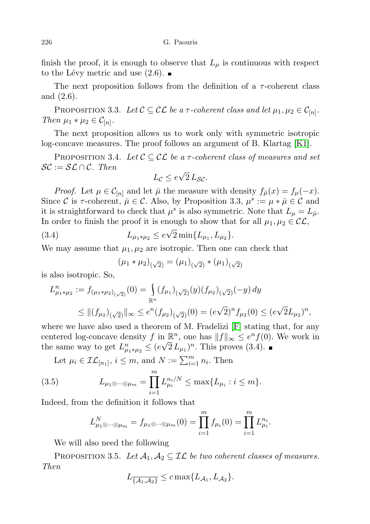finish the proof, it is enough to observe that  $L_{\mu}$  is continuous with respect to the Lévy metric and use  $(2.6)$ .

The next proposition follows from the definition of a  $\tau$ -coherent class and (2.6).

PROPOSITION 3.3. Let  $C \subseteq C\mathcal{L}$  be a  $\tau$ -coherent class and let  $\mu_1, \mu_2 \in C_{[n]}$ . Then  $\mu_1 * \mu_2 \in C_{[n]}.$ 

The next proposition allows us to work only with symmetric isotropic log-concave measures. The proof follows an argument of B. Klartag [\[K1\]](#page-16-17).

PROPOSITION 3.4. Let  $C \subseteq C\mathcal{L}$  be a  $\tau$ -coherent class of measures and set  $\mathcal{SC} := \mathcal{SL} \cap \mathcal{C}$ . Then √

$$
L_{\mathcal{C}} \leq e\sqrt{2} L_{\mathcal{SC}}.
$$

*Proof.* Let  $\mu \in \mathcal{C}_{[n]}$  and let  $\bar{\mu}$  the measure with density  $f_{\bar{\mu}}(x) = f_{\mu}(-x)$ . Since C is  $\tau$ -coherent,  $\bar{\mu} \in \mathcal{C}$ . Also, by Proposition 3.3,  $\mu^s := \mu * \bar{\mu} \in \mathcal{C}$  and it is straightforward to check that  $\mu^s$  is also symmetric. Note that  $L_{\mu} = L_{\bar{\mu}}$ . In order to finish the proof it is enough to show that for all  $\mu_1, \mu_2 \in \mathcal{CL}$ ,

(3.4) 
$$
L_{\mu_1 * \mu_2} \leq e\sqrt{2} \min\{L_{\mu_1}, L_{\mu_2}\}.
$$

We may assume that  $\mu_1, \mu_2$  are isotropic. Then one can check that

$$
(\mu_1 * \mu_2)_{(\sqrt{2})} = (\mu_1)_{(\sqrt{2})} * (\mu_1)_{(\sqrt{2})}
$$

is also isotropic. So,

$$
L_{\mu_1*\mu_2}^n := f_{(\mu_1*\mu_2)_{(\sqrt{2})}}(0) = \int_{\mathbb{R}^n} (f_{\mu_1})_{(\sqrt{2})}(y)(f_{\mu_2})_{(\sqrt{2})}(-y) dy
$$
  
 
$$
\leq ||(f_{\mu_2})_{(\sqrt{2})}||_{\infty} \leq e^n (f_{\mu_2})_{(\sqrt{2})}(0) = (e\sqrt{2})^n f_{\mu_2}(0) \leq (e\sqrt{2}L_{\mu_2})^n,
$$

where we have also used a theorem of M. Fradelizi  $[F]$  stating that, for any centered log-concave density  $f$  in  $\mathbb{R}^n$ , one has  $||f||_{\infty} \leq e^n f(0)$ . We work in the same way to get  $L_{\mu_1*\mu_2}^n \leq (e\sqrt{2} L_{\mu_1})^n$ . This proves (3.4).

Let 
$$
\mu_i \in \mathcal{IL}_{[n_1]}
$$
,  $i \leq m$ , and  $N := \sum_{i=1}^m n_i$ . Then

(3.5) 
$$
L_{\mu_1 \otimes \cdots \otimes \mu_m} = \prod_{i=1}^m L_{\mu_i}^{n_i/N} \le \max\{L_{\mu_i} : i \le m\}.
$$

Indeed, from the definition it follows that

$$
L_{\mu_1 \otimes \cdots \otimes \mu_m}^N = f_{\mu_1 \otimes \cdots \otimes \mu_m}(0) = \prod_{i=1}^m f_{\mu_i}(0) = \prod_{i=1}^m L_{\mu_i}^{n_i}.
$$

We will also need the following

PROPOSITION 3.5. Let  $\mathcal{A}_1, \mathcal{A}_2 \subseteq \mathcal{IL}$  be two coherent classes of measures. Then

$$
L_{\overline{\{\mathcal{A}_1,\mathcal{A}_2\}}} \leq c \max\{L_{\mathcal{A}_1},L_{\mathcal{A}_2}\}.
$$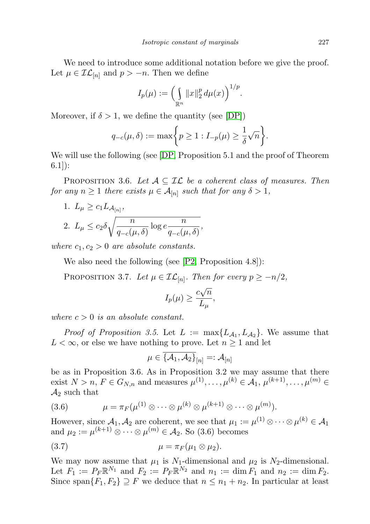We need to introduce some additional notation before we give the proof. Let  $\mu \in \mathcal{IL}_{[n]}$  and  $p > -n$ . Then we define

$$
I_p(\mu) := \left(\int_{\mathbb{R}^n} \|x\|_2^p \, d\mu(x)\right)^{1/p}.
$$

Moreover, if  $\delta > 1$ , we define the quantity (see [\[DP\]](#page-16-6))

$$
q_{-c}(\mu,\delta) := \max\bigg\{p \ge 1 : I_{-p}(\mu) \ge \frac{1}{\delta}\sqrt{n}\bigg\}.
$$

We will use the following (see [\[DP,](#page-16-6) Proposition 5.1 and the proof of Theorem 6.1]):

PROPOSITION 3.6. Let  $A \subseteq \mathcal{IL}$  be a coherent class of measures. Then for any  $n \geq 1$  there exists  $\mu \in \mathcal{A}_{[n]}$  such that for any  $\delta > 1$ ,

1.  $L_{\mu} \geq c_1 L_{\mathcal{A}_{[n]}},$ 2.  $L_{\mu} \leq c_2 \delta \sqrt{\frac{n}{\epsilon_2} + \epsilon_1}$  $\frac{n}{q_{-c}(\mu,\delta)}\log e^{\frac{n}{q_{-c}(\mu,\delta)}}$  $\frac{n}{q_{-c}(\mu,\delta)},$ 

where  $c_1, c_2 > 0$  are absolute constants.

We also need the following (see [\[P2,](#page-17-4) Proposition 4.8]):

PROPOSITION 3.7. Let  $\mu \in \mathcal{IL}_{[n]}$ . Then for every  $p \geq -n/2$ ,

$$
I_p(\mu) \ge \frac{c\sqrt{n}}{L_\mu},
$$

where  $c > 0$  is an absolute constant.

*Proof of Proposition 3.5.* Let  $L := \max\{L_{\mathcal{A}_1}, L_{\mathcal{A}_2}\}\$ . We assume that  $L < \infty$ , or else we have nothing to prove. Let  $n \geq 1$  and let

$$
\mu\in\overline{\{\mathcal{A}_1,\mathcal{A}_2\}}_{[n]}=:\mathcal{A}_{[n]}
$$

be as in Proposition 3.6. As in Proposition 3.2 we may assume that there exist  $N > n$ ,  $F \in G_{N,n}$  and measures  $\mu^{(1)}, \dots, \mu^{(k)} \in A_1, \mu^{(k+1)}, \dots, \mu^{(m)} \in A_n$  $\mathcal{A}_2$  such that

(3.6) 
$$
\mu = \pi_F(\mu^{(1)} \otimes \cdots \otimes \mu^{(k)} \otimes \mu^{(k+1)} \otimes \cdots \otimes \mu^{(m)}).
$$

However, since  $\mathcal{A}_1, \mathcal{A}_2$  are coherent, we see that  $\mu_1 := \mu^{(1)} \otimes \cdots \otimes \mu^{(k)} \in \mathcal{A}_1$ and  $\mu_2 := \mu^{(k+1)} \otimes \cdots \otimes \mu^{(m)} \in \mathcal{A}_2$ . So (3.6) becomes

$$
\mu = \pi_F(\mu_1 \otimes \mu_2).
$$

We may now assume that  $\mu_1$  is  $N_1$ -dimensional and  $\mu_2$  is  $N_2$ -dimensional. Let  $F_1 := P_F \mathbb{R}^{N_1}$  and  $F_2 := P_F \mathbb{R}^{N_2}$  and  $n_1 := \dim F_1$  and  $n_2 := \dim F_2$ . Since span ${F_1, F_2} \supseteq F$  we deduce that  $n \leq n_1 + n_2$ . In particular at least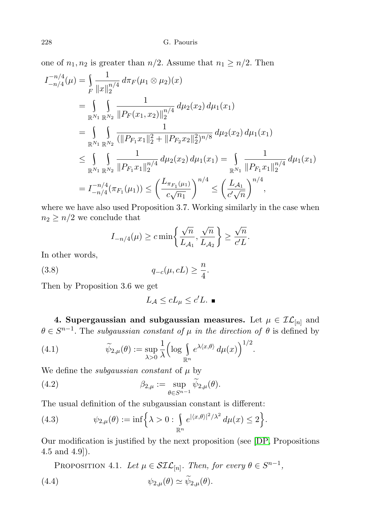one of  $n_1, n_2$  is greater than  $n/2$ . Assume that  $n_1 \geq n/2$ . Then

$$
I_{-n/4}^{-n/4}(\mu) = \int_{F} \frac{1}{\|x\|_{2}^{n/4}} d\pi_{F}(\mu_{1} \otimes \mu_{2})(x)
$$
  
\n
$$
= \int_{\mathbb{R}^{N_{1}}} \int_{\mathbb{R}^{N_{2}}} \frac{1}{\|P_{F}(x_{1}, x_{2})\|_{2}^{n/4}} d\mu_{2}(x_{2}) d\mu_{1}(x_{1})
$$
  
\n
$$
= \int_{\mathbb{R}^{N_{1}}} \int_{\mathbb{R}^{N_{2}}} \frac{1}{(\|P_{F_{1}}x_{1}\|_{2}^{2} + \|P_{F_{2}}x_{2}\|_{2}^{2})^{n/8}} d\mu_{2}(x_{2}) d\mu_{1}(x_{1})
$$
  
\n
$$
\leq \int_{\mathbb{R}^{N_{1}}} \int_{\mathbb{R}^{N_{2}}} \frac{1}{\|P_{F_{1}}x_{1}\|_{2}^{n/4}} d\mu_{2}(x_{2}) d\mu_{1}(x_{1}) = \int_{\mathbb{R}^{N_{1}}} \frac{1}{\|P_{F_{1}}x_{1}\|_{2}^{n/4}} d\mu_{1}(x_{1})
$$
  
\n
$$
= I_{-n/4}^{-n/4}(\pi_{F_{1}}(\mu_{1})) \leq \left(\frac{L_{\pi_{F_{1}}(\mu_{1})}}{c\sqrt{n_{1}}}\right)^{n/4} \leq \left(\frac{L_{\mathcal{A}_{1}}}{c'\sqrt{n}}\right)^{n/4},
$$

where we have also used Proposition 3.7. Working similarly in the case when  $n_2 \geq n/2$  we conclude that

$$
I_{-n/4}(\mu) \geq c \min \left\{ \frac{\sqrt{n}}{L_{\mathcal{A}_1}}, \frac{\sqrt{n}}{L_{\mathcal{A}_2}} \right\} \geq \frac{\sqrt{n}}{c'L}.
$$

In other words,

$$
(3.8) \t\t q_{-c}(\mu, cL) \ge \frac{n}{4}.
$$

Then by Proposition 3.6 we get

$$
L_{\mathcal{A}} \leq cL_{\mu} \leq c'L. \blacksquare
$$

4. Supergaussian and subgaussian measures. Let  $\mu \in \mathcal{IL}_{[n]}$  and  $\theta \in S^{n-1}$ . The subgaussian constant of  $\mu$  in the direction of  $\theta$  is defined by

.

(4.1) 
$$
\widetilde{\psi}_{2,\mu}(\theta) := \sup_{\lambda > 0} \frac{1}{\lambda} \left( \log \int_{\mathbb{R}^n} e^{\lambda \langle x, \theta \rangle} d\mu(x) \right)^{1/2}
$$

We define the *subgaussian constant* of  $\mu$  by

(4.2) 
$$
\beta_{2,\mu} := \sup_{\theta \in S^{n-1}} \widetilde{\psi}_{2,\mu}(\theta).
$$

The usual definition of the subgaussian constant is different:

(4.3) 
$$
\psi_{2,\mu}(\theta) := \inf \left\{ \lambda > 0 : \int_{\mathbb{R}^n} e^{|\langle x, \theta \rangle|^2 / \lambda^2} d\mu(x) \leq 2 \right\}.
$$

Our modification is justified by the next proposition (see [\[DP,](#page-16-6) Propositions 4.5 and 4.9]).

PROPOSITION 4.1. Let  $\mu \in SL_{[n]}$ . Then, for every  $\theta \in S^{n-1}$ , (4.4)  $\psi_{2,\mu}(\theta) \simeq \widetilde{\psi}_{2,\mu}(\theta).$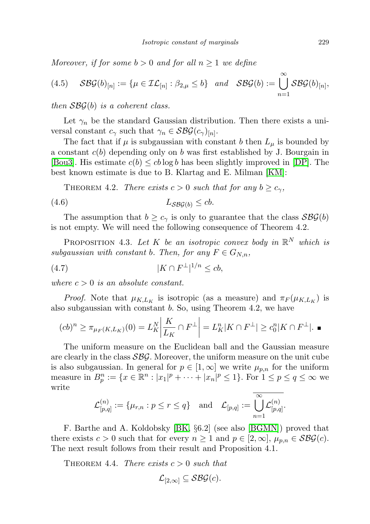Moreover, if for some  $b > 0$  and for all  $n \geq 1$  we define

(4.5) 
$$
\mathcal{S}\mathcal{B}\mathcal{G}(b)_{[n]} := \{ \mu \in \mathcal{IL}_{[n]} : \beta_{2,\mu} \leq b \} \text{ and } \mathcal{S}\mathcal{B}\mathcal{G}(b) := \bigcup_{n=1}^{\infty} \mathcal{S}\mathcal{B}\mathcal{G}(b)_{[n]},
$$

then  $\mathcal{S}\mathcal{B}\mathcal{G}(b)$  is a coherent class.

Let  $\gamma_n$  be the standard Gaussian distribution. Then there exists a universal constant  $c_{\gamma}$  such that  $\gamma_n \in \mathcal{S} \mathcal{B} \mathcal{G}(c_{\gamma})_{[n]}.$ 

The fact that if  $\mu$  is subgaussian with constant b then  $L_{\mu}$  is bounded by a constant  $c(b)$  depending only on b was first established by J. Bourgain in [\[Bou3\]](#page-16-5). His estimate  $c(b) \leq cb \log b$  has been slightly improved in [\[DP\]](#page-16-6). The best known estimate is due to B. Klartag and E. Milman [\[KM\]](#page-16-4):

THEOREM 4.2. There exists  $c > 0$  such that for any  $b \geq c_{\gamma}$ ,

$$
(4.6) \t\t L_{\mathcal{S}\mathcal{B}\mathcal{G}(b)} \leq cb.
$$

The assumption that  $b \geq c_{\gamma}$  is only to guarantee that the class  $\mathcal{S}\mathcal{B}\mathcal{G}(b)$ is not empty. We will need the following consequence of Theorem 4.2.

PROPOSITION 4.3. Let K be an isotropic convex body in  $\mathbb{R}^N$  which is subgaussian with constant b. Then, for any  $F \in G_{N,n}$ ,

$$
(4.7) \t\t\t |K \cap F^{\perp}|^{1/n} \le cb,
$$

where  $c > 0$  is an absolute constant.

*Proof.* Note that  $\mu_{K,L_K}$  is isotropic (as a measure) and  $\pi_F(\mu_{K,L_K})$  is also subgaussian with constant b. So, using Theorem 4.2, we have

$$
(cb)^n \ge \pi_{\mu_F(K,L_K)}(0) = L_K^N \left| \frac{K}{L_K} \cap F^\perp \right| = L_K^n |K \cap F^\perp| \ge c_0^n |K \cap F^\perp|.
$$

The uniform measure on the Euclidean ball and the Gaussian measure are clearly in the class  $S\mathcal{B}\mathcal{G}$ . Moreover, the uniform measure on the unit cube is also subgaussian. In general for  $p \in [1,\infty]$  we write  $\mu_{p,n}$  for the uniform measure in  $B_p^n := \{ x \in \mathbb{R}^n : |x_1|^p + \cdots + |x_n|^p \le 1 \}.$  For  $1 \le p \le q \le \infty$  we write

$$
\mathcal{L}^{(n)}_{[p,q]}:=\{\mu_{r,n}: p\leq r\leq q\}\quad\text{and}\quad \mathcal{L}_{[p,q]}:=\overline{\bigcup_{n=1}^{\infty}\mathcal{L}^{(n)}_{[p,q]}}.
$$

F. Barthe and A. Koldobsky [\[BK,](#page-15-3) §6.2] (see also [\[BGMN\]](#page-15-4)) proved that there exists  $c > 0$  such that for every  $n \ge 1$  and  $p \in [2, \infty]$ ,  $\mu_{p,n} \in \mathcal{S} \mathcal{B} \mathcal{G}(c)$ . The next result follows from their result and Proposition 4.1.

THEOREM 4.4. There exists  $c > 0$  such that

$$
\mathcal{L}_{[2,\infty]} \subseteq \mathcal{S}\mathcal{B}\mathcal{G}(c).
$$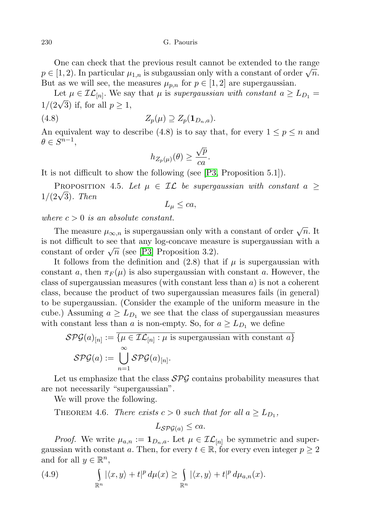230 G. Paouris

One can check that the previous result cannot be extended to the range  $p \in [1, 2)$ . In particular  $\mu_{1,n}$  is subgaussian only with a constant of order  $\sqrt{n}$ . But as we will see, the measures  $\mu_{p,n}$  for  $p \in [1,2]$  are supergaussian.

Let  $\mu \in \mathcal{IL}_{[n]}$ . We say that  $\mu$  is supergaussian with constant  $a \geq L_{D_1} =$ Let  $\mu \in \mathcal{L}\mathcal{L}_{[n]}$ . We say<br>1/(2 $\sqrt{3}$ ) if, for all  $p \ge 1$ ,

$$
(4.8) \t\t Z_p(\mu) \supseteq Z_p(\mathbf{1}_{D_n,a}).
$$

An equivalent way to describe (4.8) is to say that, for every  $1 \leq p \leq n$  and  $\theta \in S^{n-1},$ 

$$
h_{Z_p(\mu)}(\theta) \ge \frac{\sqrt{p}}{ca}.
$$

It is not difficult to show the following (see [\[P3,](#page-17-1) Proposition 5.1]).

PROPOSITION 4.5. Let  $\mu \in \mathcal{IL}$  be supergaussian with constant a  $\geq$ 1/(2<sup>√</sup> 3). Then

$$
L_{\mu} \leq ca,
$$

where  $c > 0$  is an absolute constant.

The measure  $\mu_{\infty,n}$  is supergaussian only with a constant of order  $\sqrt{n}$ . It is not difficult to see that any log-concave measure is supergaussian with a is not difficult to see that any log-concave measurement of order  $\sqrt{n}$  (see [\[P3\]](#page-17-1) Proposition 3.2).

It follows from the definition and  $(2.8)$  that if  $\mu$  is supergaussian with constant a, then  $\pi_F(\mu)$  is also supergaussian with constant a. However, the class of supergaussian measures (with constant less than  $a$ ) is not a coherent class, because the product of two supergaussian measures fails (in general) to be supergaussian. (Consider the example of the uniform measure in the cube.) Assuming  $a \geq L_{D_1}$  we see that the class of supergaussian measures with constant less than a is non-empty. So, for  $a \geq L_{D_1}$  we define

$$
\mathcal{SPG}(a)_{[n]} := \overline{\{\mu \in \mathcal{IL}_{[n]} : \mu \text{ is supergaussian with constant } a\}}
$$

$$
\mathcal{SPG}(a) := \bigcup_{n=1}^{\infty} \mathcal{SPG}(a)_{[n]}.
$$

Let us emphasize that the class  $SPS$  contains probability measures that are not necessarily "supergaussian".

We will prove the following.

THEOREM 4.6. There exists  $c > 0$  such that for all  $a \ge L_{D_1}$ ,

$$
L_{\mathcal{SPG}(a)} \leq ca.
$$

*Proof.* We write  $\mu_{a,n} := \mathbf{1}_{D_n,a}$ . Let  $\mu \in \mathcal{IL}_{[n]}$  be symmetric and supergaussian with constant a. Then, for every  $t \in \mathbb{R}$ , for every even integer  $p \geq 2$ and for all  $y \in \mathbb{R}^n$ ,

(4.9) 
$$
\int_{\mathbb{R}^n} |\langle x, y \rangle + t|^p d\mu(x) \ge \int_{\mathbb{R}^n} |\langle x, y \rangle + t|^p d\mu_{a,n}(x).
$$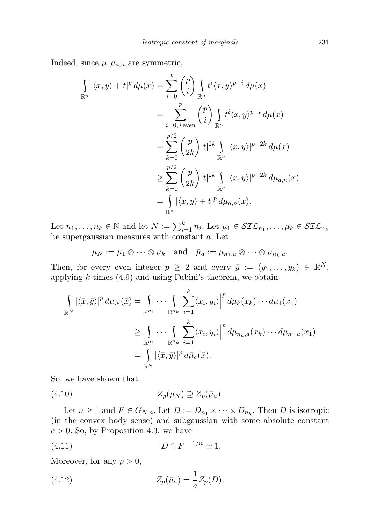Indeed, since  $\mu$ ,  $\mu_{a,n}$  are symmetric,

$$
\int_{\mathbb{R}^n} |\langle x, y \rangle + t|^p d\mu(x) = \sum_{i=0}^p {p \choose i} \int_{\mathbb{R}^n} t^i \langle x, y \rangle^{p-i} d\mu(x)
$$
  
\n
$$
= \sum_{i=0, i \text{ even}}^p {p \choose i} \int_{\mathbb{R}^n} t^i \langle x, y \rangle^{p-i} d\mu(x)
$$
  
\n
$$
= \sum_{k=0}^{p/2} {p \choose 2k} |t|^{2k} \int_{\mathbb{R}^n} |\langle x, y \rangle|^{p-2k} d\mu(x)
$$
  
\n
$$
\geq \sum_{k=0}^{p/2} {p \choose 2k} |t|^{2k} \int_{\mathbb{R}^n} |\langle x, y \rangle|^{p-2k} d\mu_{a,n}(x)
$$
  
\n
$$
= \int_{\mathbb{R}^n} |\langle x, y \rangle + t|^p d\mu_{a,n}(x).
$$

Let  $n_1, \ldots, n_k \in \mathbb{N}$  and let  $N := \sum_{i=1}^k n_i$ . Let  $\mu_1 \in \mathcal{SIL}_{n_1}, \ldots, \mu_k \in \mathcal{SIL}_{n_k}$ be supergaussian measures with constant a. Let

$$
\mu_N := \mu_1 \otimes \cdots \otimes \mu_k \quad \text{and} \quad \bar{\mu}_a := \mu_{n_1, a} \otimes \cdots \otimes \mu_{n_k, a}.
$$

Then, for every even integer  $p \geq 2$  and every  $\bar{y} := (y_1, \ldots, y_k) \in \mathbb{R}^N$ , applying  $k$  times (4.9) and using Fubini's theorem, we obtain

$$
\int_{\mathbb{R}^N} |\langle \bar{x}, \bar{y} \rangle|^p d\mu_N(\bar{x}) = \int_{\mathbb{R}^{n_1}} \cdots \int_{\mathbb{R}^{n_k}} \left| \sum_{i=1}^k \langle x_i, y_i \rangle \right|^p d\mu_k(x_k) \cdots d\mu_1(x_1)
$$
\n
$$
\geq \int_{\mathbb{R}^{n_1}} \cdots \int_{\mathbb{R}^{n_k}} \left| \sum_{i=1}^k \langle x_i, y_i \rangle \right|^p d\mu_{n_k, a}(x_k) \cdots d\mu_{n_1, a}(x_1)
$$
\n
$$
= \int_{\mathbb{R}^N} |\langle \bar{x}, \bar{y} \rangle|^p d\bar{\mu}_a(\bar{x}).
$$

So, we have shown that

 $(Z_p(\mu_N) \supseteq Z_p(\bar{\mu}_a).$ 

Let  $n \geq 1$  and  $F \in G_{N,n}$ . Let  $D := D_{n_1} \times \cdots \times D_{n_k}$ . Then D is isotropic (in the convex body sense) and subgaussian with some absolute constant  $c > 0$ . So, by Proposition 4.3, we have

$$
(4.11)\t\t\t |D \cap F^{\perp}|^{1/n} \simeq 1.
$$

Moreover, for any  $p > 0$ ,

(4.12) 
$$
Z_p(\bar{\mu}_a) = \frac{1}{a} Z_p(D).
$$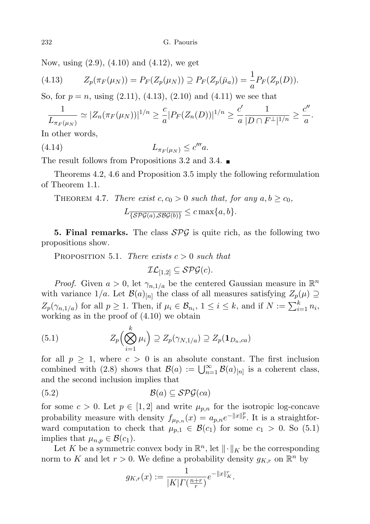Now, using (2.9), (4.10) and (4.12), we get

(4.13) 
$$
Z_p(\pi_F(\mu_N)) = P_F(Z_p(\mu_N)) \supseteq P_F(Z_p(\bar{\mu}_a)) = \frac{1}{a} P_F(Z_p(D)).
$$

So, for  $p = n$ , using  $(2.11)$ ,  $(4.13)$ ,  $(2.10)$  and  $(4.11)$  we see that

$$
\frac{1}{L_{\pi_F(\mu_N)}} \simeq |Z_n(\pi_F(\mu_N))|^{1/n} \geq \frac{c}{a}|P_F(Z_n(D))|^{1/n} \geq \frac{c'}{a}\frac{1}{|D \cap F^{\perp}|^{1/n}} \geq \frac{c''}{a}.
$$

In other words,

$$
(4.14) \t\t\t L_{\pi_F(\mu_N)} \le c''' a.
$$

The result follows from Propositions 3.2 and 3.4.  $\blacksquare$ 

Theorems 4.2, 4.6 and Proposition 3.5 imply the following reformulation of Theorem 1.1.

THEOREM 4.7. There exist 
$$
c, c_0 > 0
$$
 such that, for any  $a, b \ge c_0$ ,

$$
L_{\overline{\{\mathcal{SPG}(a),\mathcal{SBG}(b)\}}} \leq c \max\{a,b\}.
$$

**5. Final remarks.** The class  $\mathcal{SPG}$  is quite rich, as the following two propositions show.

PROPOSITION 5.1. There exists  $c > 0$  such that

$$
\mathcal{IL}_{[1,2]}\subseteq\mathcal{SPG}(c).
$$

*Proof.* Given  $a > 0$ , let  $\gamma_{n,1/a}$  be the centered Gaussian measure in  $\mathbb{R}^n$ with variance  $1/a$ . Let  $\mathcal{B}(a)_{[n]}$  the class of all measures satisfying  $Z_p(\mu) \supseteq$  $Z_p(\gamma_{n,1/a})$  for all  $p \ge 1$ . Then, if  $\mu_i \in \mathcal{B}_{n_i}$ ,  $1 \le i \le k$ , and if  $N := \sum_{i=1}^k n_i$ , working as in the proof of (4.10) we obtain

(5.1) 
$$
Z_p\left(\bigotimes_{i=1}^k \mu_i\right) \supseteq Z_p(\gamma_{N,1/a}) \supseteq Z_p(\mathbf{1}_{D_n,ca})
$$

for all  $p \geq 1$ , where  $c > 0$  is an absolute constant. The first inclusion combined with (2.8) shows that  $\mathcal{B}(a) := \bigcup_{n=1}^{\infty} \mathcal{B}(a)_{[n]}$  is a coherent class, and the second inclusion implies that

$$
(5.2) \t\t\t\t\mathcal{B}(a) \subseteq \mathcal{SPG}(ca)
$$

for some  $c > 0$ . Let  $p \in [1, 2]$  and write  $\mu_{p,n}$  for the isotropic log-concave probability measure with density  $f_{\mu_{p,n}}(x) = a_{p,n}e^{-\|x\|_p^p}$ . It is a straightforward computation to check that  $\mu_{p,1} \in \mathcal{B}(c_1)$  for some  $c_1 > 0$ . So (5.1) implies that  $\mu_{n,p} \in \mathcal{B}(c_1)$ .

Let K be a symmetric convex body in  $\mathbb{R}^n$ , let  $\|\cdot\|_K$  be the corresponding norm to K and let  $r > 0$ . We define a probability density  $g_{K,r}$  on  $\mathbb{R}^n$  by

$$
g_{K,r}(x) := \frac{1}{|K| \Gamma(\frac{n+r}{r})} e^{-\|x\|_K^r}.
$$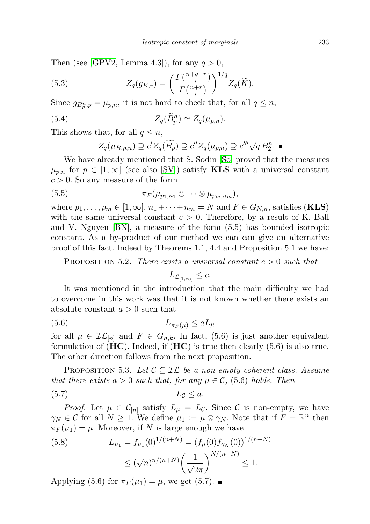Then (see [\[GPV2,](#page-16-19) Lemma 4.3]), for any  $q > 0$ ,

(5.3) 
$$
Z_q(g_{K,r}) = \left(\frac{\Gamma(\frac{n+q+r}{r})}{\Gamma(\frac{n+r}{r})}\right)^{1/q} Z_q(\widetilde{K}).
$$

Since  $g_{B_p^n, p} = \mu_{p,n}$ , it is not hard to check that, for all  $q \leq n$ ,

(5.4) 
$$
Z_q(\widetilde{B}_p^n) \simeq Z_q(\mu_{p,n}).
$$

This shows that, for all  $q \leq n$ ,

$$
Z_q(\mu_{B,p,n}) \supseteq c'Z_q(\widetilde{B_p}) \supseteq c''Z_q(\mu_{p,n}) \supseteq c''' \sqrt{q} B_2^n.
$$

We have already mentioned that S. Sodin [\[So\]](#page-17-2) proved that the measures  $\mu_{p,n}$  for  $p \in [1,\infty]$  (see also [\[SV\]](#page-17-9)) satisfy **KLS** with a universal constant  $c > 0$ . So any measure of the form

$$
(5.5) \t\t \pi_F(\mu_{p_1,n_1} \otimes \cdots \otimes \mu_{p_m,n_m}),
$$

where  $p_1, \ldots, p_m \in [1, \infty], n_1 + \cdots + n_m = N$  and  $F \in G_{N,n}$ , satisfies (**KLS**) with the same universal constant  $c > 0$ . Therefore, by a result of K. Ball and V. Nguyen [\[BN\]](#page-15-1), a measure of the form (5.5) has bounded isotropic constant. As a by-product of our method we can can give an alternative proof of this fact. Indeed by Theorems 1.1, 4.4 and Proposition 5.1 we have:

PROPOSITION 5.2. There exists a universal constant  $c > 0$  such that

$$
L_{\mathcal{L}_{[1,\infty]}} \leq c.
$$

It was mentioned in the introduction that the main difficulty we had to overcome in this work was that it is not known whether there exists an absolute constant  $a > 0$  such that

$$
(5.6) \t\t\t L_{\pi_F(\mu)} \leq aL_{\mu}
$$

for all  $\mu \in \mathcal{IL}_{[n]}$  and  $F \in G_{n,k}$ . In fact, (5.6) is just another equivalent formulation of  $(HC)$ . Indeed, if  $(HC)$  is true then clearly  $(5.6)$  is also true. The other direction follows from the next proposition.

PROPOSITION 5.3. Let  $C \subseteq \mathcal{IL}$  be a non-empty coherent class. Assume that there exists  $a > 0$  such that, for any  $\mu \in \mathcal{C}$ , (5.6) holds. Then (5.7)  $L_c < a$ .

*Proof.* Let 
$$
\mu \in C_{[n]}
$$
 satisfy  $L_{\mu} = L_{\mathcal{C}}$ . Since  $C$  is non-empty, we have  $\gamma_N \in \mathcal{C}$  for all  $N \ge 1$ . We define  $\mu_1 := \mu \otimes \gamma_N$ . Note that if  $F = \mathbb{R}^n$  then  $\pi_F(\mu_1) = \mu$ . Moreover, if  $N$  is large enough we have

(5.8) 
$$
L_{\mu_1} = f_{\mu_1}(0)^{1/(n+N)} = (f_{\mu}(0) f_{\gamma_N}(0))^{1/(n+N)} \leq (\sqrt{n})^{n/(n+N)} \left(\frac{1}{\sqrt{2\pi}}\right)^{N/(n+N)} \leq 1.
$$

Applying (5.6) for  $\pi_F(\mu_1) = \mu$ , we get (5.7).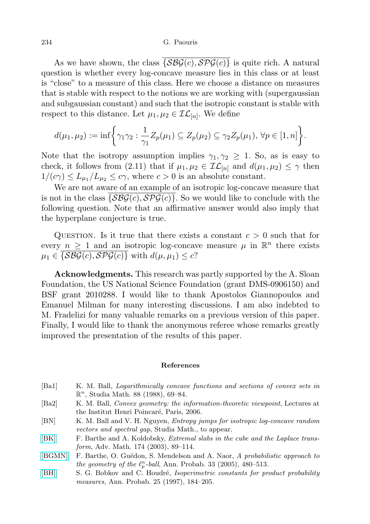As we have shown, the class  $\overline{\{\mathcal{S}\mathcal{B}\mathcal{G}(c), \mathcal{S}\mathcal{P}\mathcal{G}(c)\}}$  is quite rich. A natural question is whether every log-concave measure lies in this class or at least is "close" to a measure of this class. Here we choose a distance on measures that is stable with respect to the notions we are working with (supergaussian and subgaussian constant) and such that the isotropic constant is stable with respect to this distance. Let  $\mu_1, \mu_2 \in \mathcal{IL}_{[n]}$ . We define

$$
d(\mu_1, \mu_2) := \inf \bigg\{ \gamma_1 \gamma_2 : \frac{1}{\gamma_1} Z_p(\mu_1) \subseteq Z_p(\mu_2) \subseteq \gamma_2 Z_p(\mu_1), \ \forall p \in [1, n] \bigg\}.
$$

Note that the isotropy assumption implies  $\gamma_1, \gamma_2 \geq 1$ . So, as is easy to check, it follows from (2.11) that if  $\mu_1, \mu_2 \in \mathcal{IL}_{[n]}$  and  $d(\mu_1, \mu_2) \leq \gamma$  then  $1/(c\gamma) \le L_{\mu_1}/L_{\mu_2} \le c\gamma$ , where  $c > 0$  is an absolute constant.

We are not aware of an example of an isotropic log-concave measure that is not in the class  $\{\mathcal{S}\mathcal{B}\mathcal{G}(c),\mathcal{S}\mathcal{P}\mathcal{G}(c)\}\)$ . So we would like to conclude with the following question. Note that an affirmative answer would also imply that the hyperplane conjecture is true.

QUESTION. Is it true that there exists a constant  $c > 0$  such that for every  $n \geq 1$  and an isotropic log-concave measure  $\mu$  in  $\mathbb{R}^n$  there exists  $\mu_1 \in \{S\mathcal{B}\mathcal{G}(c), S\mathcal{P}\mathcal{G}(c)\}\$  with  $d(\mu, \mu_1) \leq c$ ?

Acknowledgments. This research was partly supported by the A. Sloan Foundation, the US National Science Foundation (grant DMS-0906150) and BSF grant 2010288. I would like to thank Apostolos Giannopoulos and Emanuel Milman for many interesting discussions. I am also indebted to M. Fradelizi for many valuable remarks on a previous version of this paper. Finally, I would like to thank the anonymous referee whose remarks greatly improved the presentation of the results of this paper.

## References

- <span id="page-15-0"></span>[Ba1] K. M. Ball, Logarithmically concave functions and sections of convex sets in  $\mathbb{R}^n$ , Studia Math. 88 (1988), 69-84.
- <span id="page-15-2"></span>[Ba2] K. M. Ball, Convex geometry: the information-theoretic viewpoint, Lectures at the Institut Henri Poincaré, Paris, 2006.
- <span id="page-15-1"></span>[BN] K. M. Ball and V. H. Nguyen, Entropy jumps for isotropic log-concave random vectors and spectral gap, Studia Math., to appear.
- <span id="page-15-3"></span>[\[BK\]](http://dx.doi.org/10.1016/S0001-8708(02)00055-5) F. Barthe and A. Koldobsky, *Extremal slabs in the cube and the Laplace trans*form, Adv. Math. 174 (2003), 89–114.
- <span id="page-15-4"></span>[\[BGMN\]](http://dx.doi.org/10.1214/009117904000000874) F. Barthe, O. Guédon, S. Mendelson and A. Naor, A probabilistic approach to the geometry of the  $\ell_p^n$ -ball, Ann. Probab. 33 (2005), 480–513.
- [\[BH\]](http://dx.doi.org/10.1214/aop/1024404284) S. G. Bobkov and C. Houdré, Isoperimetric constants for product probability measures, Ann. Probab. 25 (1997), 184–205.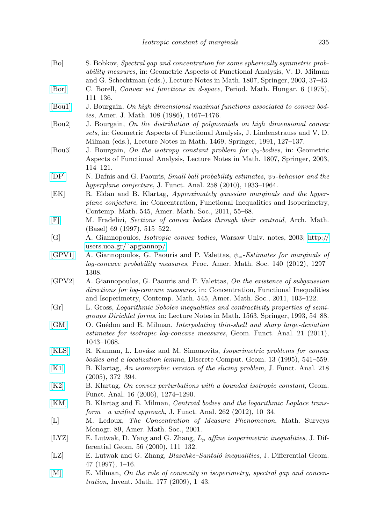- <span id="page-16-12"></span>[Bo] S. Bobkov, Spectral gap and concentration for some spherically symmetric probability measures, in: Geometric Aspects of Functional Analysis, V. D. Milman and G. Schechtman (eds.), Lecture Notes in Math. 1807, Springer, 2003, 37–43.
- <span id="page-16-14"></span>[\[Bor\]](http://dx.doi.org/10.1007/BF02018814) C. Borell, Convex set functions in d-space, Period. Math. Hungar. 6 (1975), 111–136.
- <span id="page-16-0"></span>[\[Bou1\]](http://dx.doi.org/10.2307/2374532) J. Bourgain, On high dimensional maximal functions associated to convex bodies, Amer. J. Math. 108 (1986), 1467–1476.
- <span id="page-16-3"></span>[Bou2] J. Bourgain, On the distribution of polynomials on high dimensional convex sets, in: Geometric Aspects of Functional Analysis, J. Lindenstrauss and V. D. Milman (eds.), Lecture Notes in Math. 1469, Springer, 1991, 127–137.
- <span id="page-16-5"></span>[Bou3] J. Bourgain, On the isotropy constant problem for  $\psi_2$ -bodies, in: Geometric Aspects of Functional Analysis, Lecture Notes in Math. 1807, Springer, 2003, 114–121.
- <span id="page-16-6"></span>[\[DP\]](http://dx.doi.org/10.1016/j.jfa.2009.06.038) N. Dafnis and G. Paouris, *Small ball probability estimates,*  $\psi_2$ -behavior and the hyperplane conjecture, J. Funct. Anal. 258 (2010), 1933–1964.
- <span id="page-16-10"></span>[EK] R. Eldan and B. Klartag, Approximately gaussian marginals and the hyperplane conjecture, in: Concentration, Functional Inequalities and Isoperimetry, Contemp. Math. 545, Amer. Math. Soc., 2011, 55–68.
- <span id="page-16-18"></span>[\[F\]](http://dx.doi.org/10.1007/s000130050154) M. Fradelizi, Sections of convex bodies through their centroid, Arch. Math. (Basel) 69 (1997), 515–522.
- <span id="page-16-1"></span>[G] A. Giannopoulos, Isotropic convex bodies, Warsaw Univ. notes, 2003; [http://](http://users.uoa.gr/~apgiannop/) [users.uoa.gr/˜apgiannop/.](http://users.uoa.gr/~apgiannop/)
- <span id="page-16-7"></span>[\[GPV1\]](http://dx.doi.org/10.1090/S0002-9939-2011-10984-5) A. Giannopoulos, G. Paouris and P. Valettas,  $\psi_{\alpha}$ -Estimates for marginals of log-concave probability measures, Proc. Amer. Math. Soc. 140 (2012), 1297– 1308.
- <span id="page-16-19"></span>[GPV2] A. Giannopoulos, G. Paouris and P. Valettas, On the existence of subgaussian directions for log-concave measures, in: Concentration, Functional Inequalities and Isoperimetry, Contemp. Math. 545, Amer. Math. Soc., 2011, 103–122.
- [Gr] L. Gross, Logarithmic Sobolev inequalities and contractivity properties of semigroups Dirichlet forms, in: Lecture Notes in Math. 1563, Springer, 1993, 54–88.
- <span id="page-16-11"></span>[\[GM\]](http://dx.doi.org/10.1007/s00039-011-0136-5) O. Guédon and E. Milman, *Interpolating thin-shell and sharp large-deviation* estimates for isotropic log-concave measures, Geom. Funct. Anal. 21 (2011), 1043–1068.
- <span id="page-16-8"></span>[\[KLS\]](http://dx.doi.org/10.1007/BF02574061) R. Kannan, L. Lovász and M. Simonovits, *Isoperimetric problems for convex* bodies and a localization lemma, Discrete Comput. Geom. 13 (1995), 541–559.
- <span id="page-16-17"></span>[\[K1\]](http://dx.doi.org/10.1016/j.jfa.2004.05.003) B. Klartag, An isomorphic version of the slicing problem, J. Funct. Anal. 218 (2005), 372–394.
- <span id="page-16-2"></span>[\[K2\]](http://dx.doi.org/10.1007/s00039-006-0588-1) B. Klartag, On convex perturbations with a bounded isotropic constant, Geom. Funct. Anal. 16 (2006), 1274–1290.
- <span id="page-16-4"></span>[\[KM\]](http://dx.doi.org/10.1016/j.jfa.2011.09.003) B. Klartag and E. Milman, Centroid bodies and the logarithmic Laplace trans $form—a \ unified \ approach, J. Funct. Anal. 262 (2012), 10-34.$
- <span id="page-16-13"></span>[L] M. Ledoux, The Concentration of Measure Phenomenon, Math. Surveys Monogr. 89, Amer. Math. Soc., 2001.
- <span id="page-16-16"></span>[LYZ] E. Lutwak, D. Yang and G. Zhang,  $L_p$  affine isoperimetric inequalities, J. Differential Geom. 56 (2000), 111–132.
- <span id="page-16-15"></span>[LZ] E. Lutwak and G. Zhang, *Blaschke–Santaló inequalities*, J. Differential Geom. 47 (1997), 1–16.
- <span id="page-16-9"></span>[\[M\]](http://dx.doi.org/10.1007/s00222-009-0175-9) E. Milman, On the role of convexity in isoperimetry, spectral gap and concentration, Invent. Math. 177 (2009), 1–43.